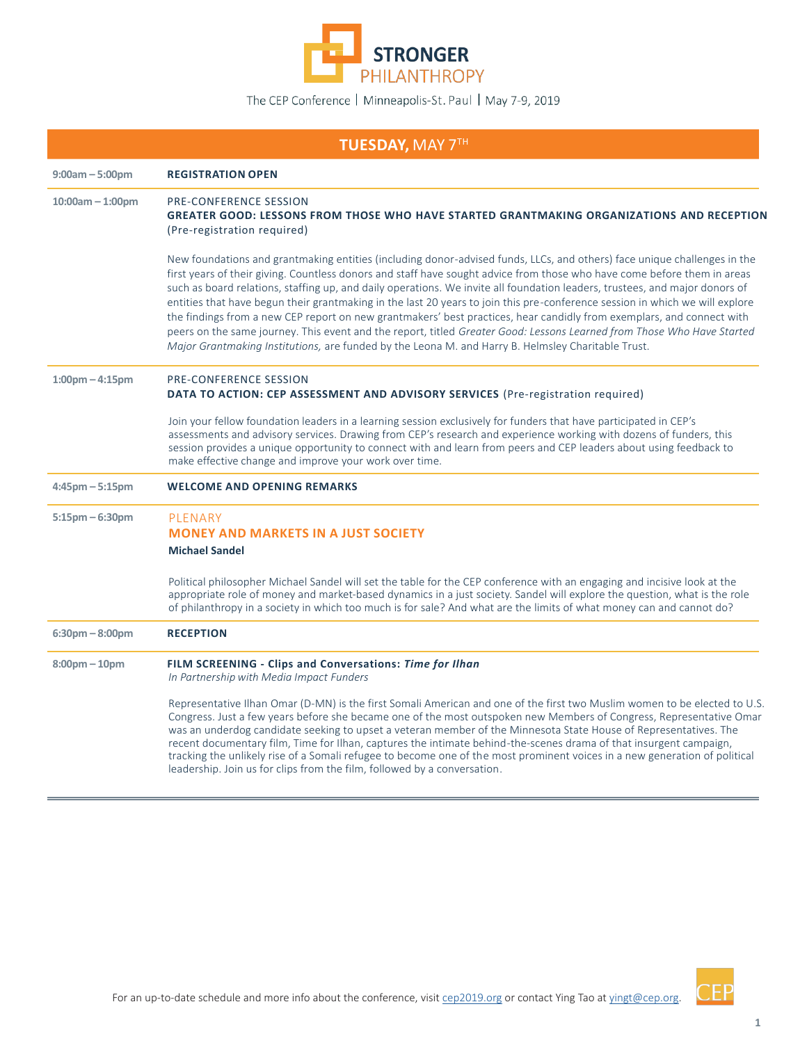

| <b>TUESDAY, MAY 7TH</b> |                                                                                                                                                                                                                                                                                                                                                                                                                                                                                                                                                                                                                                                                                                                                                                                                                                                                              |  |
|-------------------------|------------------------------------------------------------------------------------------------------------------------------------------------------------------------------------------------------------------------------------------------------------------------------------------------------------------------------------------------------------------------------------------------------------------------------------------------------------------------------------------------------------------------------------------------------------------------------------------------------------------------------------------------------------------------------------------------------------------------------------------------------------------------------------------------------------------------------------------------------------------------------|--|
| $9:00am - 5:00pm$       | <b>REGISTRATION OPEN</b>                                                                                                                                                                                                                                                                                                                                                                                                                                                                                                                                                                                                                                                                                                                                                                                                                                                     |  |
| $10:00am - 1:00pm$      | <b>PRE-CONFERENCE SESSION</b><br>GREATER GOOD: LESSONS FROM THOSE WHO HAVE STARTED GRANTMAKING ORGANIZATIONS AND RECEPTION<br>(Pre-registration required)                                                                                                                                                                                                                                                                                                                                                                                                                                                                                                                                                                                                                                                                                                                    |  |
|                         | New foundations and grantmaking entities (including donor-advised funds, LLCs, and others) face unique challenges in the<br>first years of their giving. Countless donors and staff have sought advice from those who have come before them in areas<br>such as board relations, staffing up, and daily operations. We invite all foundation leaders, trustees, and major donors of<br>entities that have begun their grantmaking in the last 20 years to join this pre-conference session in which we will explore<br>the findings from a new CEP report on new grantmakers' best practices, hear candidly from exemplars, and connect with<br>peers on the same journey. This event and the report, titled Greater Good: Lessons Learned from Those Who Have Started<br>Major Grantmaking Institutions, are funded by the Leona M. and Harry B. Helmsley Charitable Trust. |  |
| $1:00$ pm $-4:15$ pm    | <b>PRE-CONFERENCE SESSION</b><br>DATA TO ACTION: CEP ASSESSMENT AND ADVISORY SERVICES (Pre-registration required)                                                                                                                                                                                                                                                                                                                                                                                                                                                                                                                                                                                                                                                                                                                                                            |  |
|                         | Join your fellow foundation leaders in a learning session exclusively for funders that have participated in CEP's<br>assessments and advisory services. Drawing from CEP's research and experience working with dozens of funders, this<br>session provides a unique opportunity to connect with and learn from peers and CEP leaders about using feedback to<br>make effective change and improve your work over time.                                                                                                                                                                                                                                                                                                                                                                                                                                                      |  |
| $4:45$ pm $-5:15$ pm    | <b>WELCOME AND OPENING REMARKS</b>                                                                                                                                                                                                                                                                                                                                                                                                                                                                                                                                                                                                                                                                                                                                                                                                                                           |  |
| $5:15$ pm $-6:30$ pm    | PLENARY<br><b>MONEY AND MARKETS IN A JUST SOCIETY</b><br><b>Michael Sandel</b>                                                                                                                                                                                                                                                                                                                                                                                                                                                                                                                                                                                                                                                                                                                                                                                               |  |
|                         | Political philosopher Michael Sandel will set the table for the CEP conference with an engaging and incisive look at the<br>appropriate role of money and market-based dynamics in a just society. Sandel will explore the question, what is the role<br>of philanthropy in a society in which too much is for sale? And what are the limits of what money can and cannot do?                                                                                                                                                                                                                                                                                                                                                                                                                                                                                                |  |
| $6:30$ pm $-8:00$ pm    | <b>RECEPTION</b>                                                                                                                                                                                                                                                                                                                                                                                                                                                                                                                                                                                                                                                                                                                                                                                                                                                             |  |
| $8:00$ pm $-10$ pm      | FILM SCREENING - Clips and Conversations: Time for Ilhan<br>In Partnership with Media Impact Funders                                                                                                                                                                                                                                                                                                                                                                                                                                                                                                                                                                                                                                                                                                                                                                         |  |
|                         | Representative Ilhan Omar (D-MN) is the first Somali American and one of the first two Muslim women to be elected to U.S.<br>Congress. Just a few years before she became one of the most outspoken new Members of Congress, Representative Omar<br>was an underdog candidate seeking to upset a veteran member of the Minnesota State House of Representatives. The<br>recent documentary film, Time for Ilhan, captures the intimate behind-the-scenes drama of that insurgent campaign,<br>tracking the unlikely rise of a Somali refugee to become one of the most prominent voices in a new generation of political<br>leadership. Join us for clips from the film, followed by a conversation.                                                                                                                                                                         |  |



CEP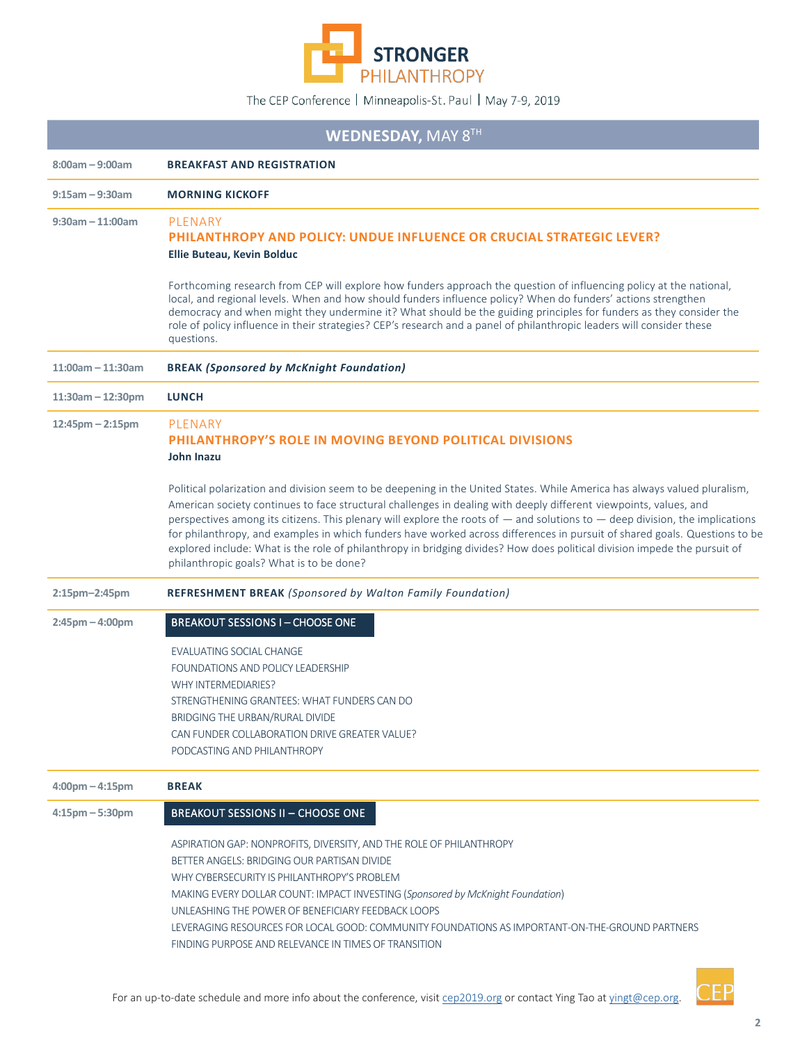

| <b>WEDNESDAY, MAY 8TH</b>         |                                                                                                                                                                                                                                                                                                                                                                                                                                                                                                                                                                                                                                                                                           |  |
|-----------------------------------|-------------------------------------------------------------------------------------------------------------------------------------------------------------------------------------------------------------------------------------------------------------------------------------------------------------------------------------------------------------------------------------------------------------------------------------------------------------------------------------------------------------------------------------------------------------------------------------------------------------------------------------------------------------------------------------------|--|
| $8:00am - 9:00am$                 | <b>BREAKFAST AND REGISTRATION</b>                                                                                                                                                                                                                                                                                                                                                                                                                                                                                                                                                                                                                                                         |  |
| $9:15$ am - 9:30am                | <b>MORNING KICKOFF</b>                                                                                                                                                                                                                                                                                                                                                                                                                                                                                                                                                                                                                                                                    |  |
| $9:30$ am - 11:00am               | PLENARY<br><b>PHILANTHROPY AND POLICY: UNDUE INFLUENCE OR CRUCIAL STRATEGIC LEVER?</b><br>Ellie Buteau, Kevin Bolduc                                                                                                                                                                                                                                                                                                                                                                                                                                                                                                                                                                      |  |
|                                   | Forthcoming research from CEP will explore how funders approach the question of influencing policy at the national,<br>local, and regional levels. When and how should funders influence policy? When do funders' actions strengthen<br>democracy and when might they undermine it? What should be the guiding principles for funders as they consider the<br>role of policy influence in their strategies? CEP's research and a panel of philanthropic leaders will consider these<br>questions.                                                                                                                                                                                         |  |
| $11:00$ am - 11:30am              | <b>BREAK (Sponsored by McKnight Foundation)</b>                                                                                                                                                                                                                                                                                                                                                                                                                                                                                                                                                                                                                                           |  |
| $11:30am - 12:30pm$               | <b>LUNCH</b>                                                                                                                                                                                                                                                                                                                                                                                                                                                                                                                                                                                                                                                                              |  |
| $12:45$ pm $- 2:15$ pm            | PLENARY<br><b>PHILANTHROPY'S ROLE IN MOVING BEYOND POLITICAL DIVISIONS</b><br>John Inazu                                                                                                                                                                                                                                                                                                                                                                                                                                                                                                                                                                                                  |  |
|                                   | Political polarization and division seem to be deepening in the United States. While America has always valued pluralism,<br>American society continues to face structural challenges in dealing with deeply different viewpoints, values, and<br>perspectives among its citizens. This plenary will explore the roots of $-$ and solutions to $-$ deep division, the implications<br>for philanthropy, and examples in which funders have worked across differences in pursuit of shared goals. Questions to be<br>explored include: What is the role of philanthropy in bridging divides? How does political division impede the pursuit of<br>philanthropic goals? What is to be done? |  |
| 2:15pm-2:45pm                     | <b>REFRESHMENT BREAK (Sponsored by Walton Family Foundation)</b>                                                                                                                                                                                                                                                                                                                                                                                                                                                                                                                                                                                                                          |  |
| $2:45$ pm $-4:00$ pm              | <b>BREAKOUT SESSIONS I-CHOOSE ONE</b>                                                                                                                                                                                                                                                                                                                                                                                                                                                                                                                                                                                                                                                     |  |
|                                   | EVALUATING SOCIAL CHANGE<br>FOUNDATIONS AND POLICY LEADERSHIP<br>WHY INTERMEDIARIES?<br>STRENGTHENING GRANTEES: WHAT FUNDERS CAN DO<br>BRIDGING THE URBAN/RURAL DIVIDE<br>CAN FUNDER COLLABORATION DRIVE GREATER VALUE?<br>PODCASTING AND PHILANTHROPY                                                                                                                                                                                                                                                                                                                                                                                                                                    |  |
| $4:00 \text{pm} - 4:15 \text{pm}$ | <b>BREAK</b>                                                                                                                                                                                                                                                                                                                                                                                                                                                                                                                                                                                                                                                                              |  |
| $4:15$ pm $-5:30$ pm              | <b>BREAKOUT SESSIONS II - CHOOSE ONE</b>                                                                                                                                                                                                                                                                                                                                                                                                                                                                                                                                                                                                                                                  |  |
|                                   | ASPIRATION GAP: NONPROFITS, DIVERSITY, AND THE ROLE OF PHILANTHROPY<br>BETTER ANGELS: BRIDGING OUR PARTISAN DIVIDE<br>WHY CYBERSECURITY IS PHILANTHROPY'S PROBLEM<br>MAKING EVERY DOLLAR COUNT: IMPACT INVESTING (Sponsored by McKnight Foundation)<br>UNLEASHING THE POWER OF BENEFICIARY FEEDBACK LOOPS<br>LEVERAGING RESOURCES FOR LOCAL GOOD: COMMUNITY FOUNDATIONS AS IMPORTANT-ON-THE-GROUND PARTNERS<br>FINDING PURPOSE AND RELEVANCE IN TIMES OF TRANSITION                                                                                                                                                                                                                       |  |

CEP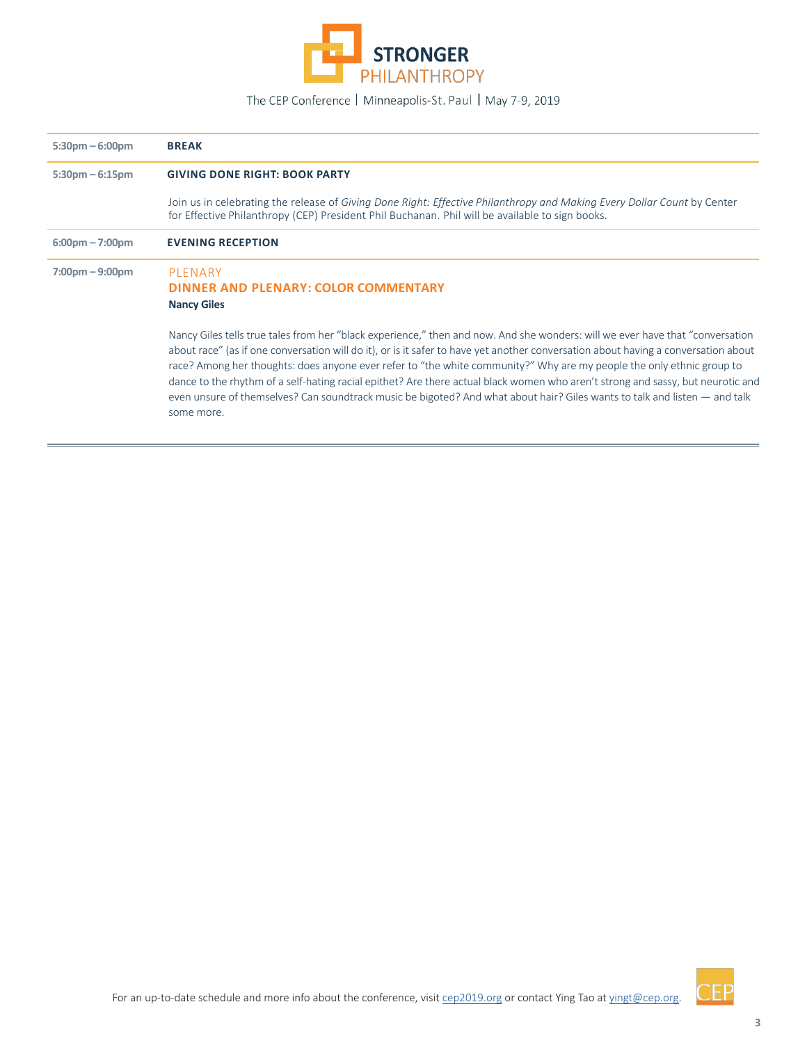

| $5:30 \text{pm} - 6:00 \text{pm}$ | <b>BREAK</b>                                                                                                                                                                                                                                                                                                                                                                                                                                                                                                                                                                                                                                                                 |
|-----------------------------------|------------------------------------------------------------------------------------------------------------------------------------------------------------------------------------------------------------------------------------------------------------------------------------------------------------------------------------------------------------------------------------------------------------------------------------------------------------------------------------------------------------------------------------------------------------------------------------------------------------------------------------------------------------------------------|
| $5:30 \text{pm} - 6:15 \text{pm}$ | <b>GIVING DONE RIGHT: BOOK PARTY</b>                                                                                                                                                                                                                                                                                                                                                                                                                                                                                                                                                                                                                                         |
|                                   | Join us in celebrating the release of Giving Done Right: Effective Philanthropy and Making Every Dollar Count by Center<br>for Effective Philanthropy (CEP) President Phil Buchanan. Phil will be available to sign books.                                                                                                                                                                                                                                                                                                                                                                                                                                                   |
| $6:00 \text{pm} - 7:00 \text{pm}$ | <b>EVENING RECEPTION</b>                                                                                                                                                                                                                                                                                                                                                                                                                                                                                                                                                                                                                                                     |
| $7:00 \text{pm} - 9:00 \text{pm}$ | PLENARY<br>DINNER AND PLENARY: COLOR COMMENTARY<br><b>Nancy Giles</b>                                                                                                                                                                                                                                                                                                                                                                                                                                                                                                                                                                                                        |
|                                   | Nancy Giles tells true tales from her "black experience," then and now. And she wonders: will we ever have that "conversation"<br>about race" (as if one conversation will do it), or is it safer to have yet another conversation about having a conversation about<br>race? Among her thoughts: does anyone ever refer to "the white community?" Why are my people the only ethnic group to<br>dance to the rhythm of a self-hating racial epithet? Are there actual black women who aren't strong and sassy, but neurotic and<br>even unsure of themselves? Can soundtrack music be bigoted? And what about hair? Giles wants to talk and listen — and talk<br>some more. |